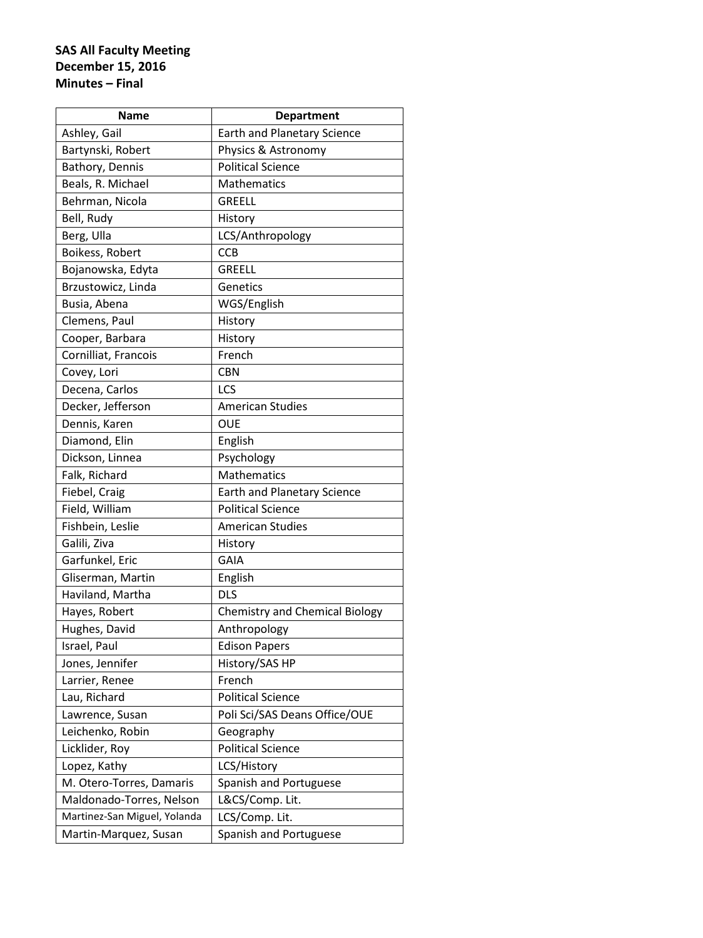| <b>Name</b>                  | <b>Department</b>                     |
|------------------------------|---------------------------------------|
| Ashley, Gail                 | <b>Earth and Planetary Science</b>    |
| Bartynski, Robert            | Physics & Astronomy                   |
| Bathory, Dennis              | <b>Political Science</b>              |
| Beals, R. Michael            | <b>Mathematics</b>                    |
| Behrman, Nicola              | <b>GREELL</b>                         |
| Bell, Rudy                   | History                               |
| Berg, Ulla                   | LCS/Anthropology                      |
| Boikess, Robert              | <b>CCB</b>                            |
| Bojanowska, Edyta            | <b>GREELL</b>                         |
| Brzustowicz, Linda           | Genetics                              |
| Busia, Abena                 | WGS/English                           |
| Clemens, Paul                | History                               |
| Cooper, Barbara              | History                               |
| Cornilliat, Francois         | French                                |
| Covey, Lori                  | <b>CBN</b>                            |
| Decena, Carlos               | LCS                                   |
| Decker, Jefferson            | <b>American Studies</b>               |
| Dennis, Karen                | <b>OUE</b>                            |
| Diamond, Elin                | English                               |
| Dickson, Linnea              | Psychology                            |
| Falk, Richard                | <b>Mathematics</b>                    |
| Fiebel, Craig                | <b>Earth and Planetary Science</b>    |
| Field, William               | <b>Political Science</b>              |
| Fishbein, Leslie             | <b>American Studies</b>               |
| Galili, Ziva                 | History                               |
| Garfunkel, Eric              | <b>GAIA</b>                           |
| Gliserman, Martin            | English                               |
| Haviland, Martha             | <b>DLS</b>                            |
| Hayes, Robert                | <b>Chemistry and Chemical Biology</b> |
| Hughes, David                | Anthropology                          |
| Israel, Paul                 | <b>Edison Papers</b>                  |
| Jones, Jennifer              | History/SAS HP                        |
| Larrier, Renee               | French                                |
| Lau, Richard                 | <b>Political Science</b>              |
| Lawrence, Susan              | Poli Sci/SAS Deans Office/OUE         |
| Leichenko, Robin             | Geography                             |
| Licklider, Roy               | <b>Political Science</b>              |
| Lopez, Kathy                 | LCS/History                           |
| M. Otero-Torres, Damaris     | Spanish and Portuguese                |
| Maldonado-Torres, Nelson     | L&CS/Comp. Lit.                       |
| Martinez-San Miguel, Yolanda | LCS/Comp. Lit.                        |
| Martin-Marquez, Susan        | Spanish and Portuguese                |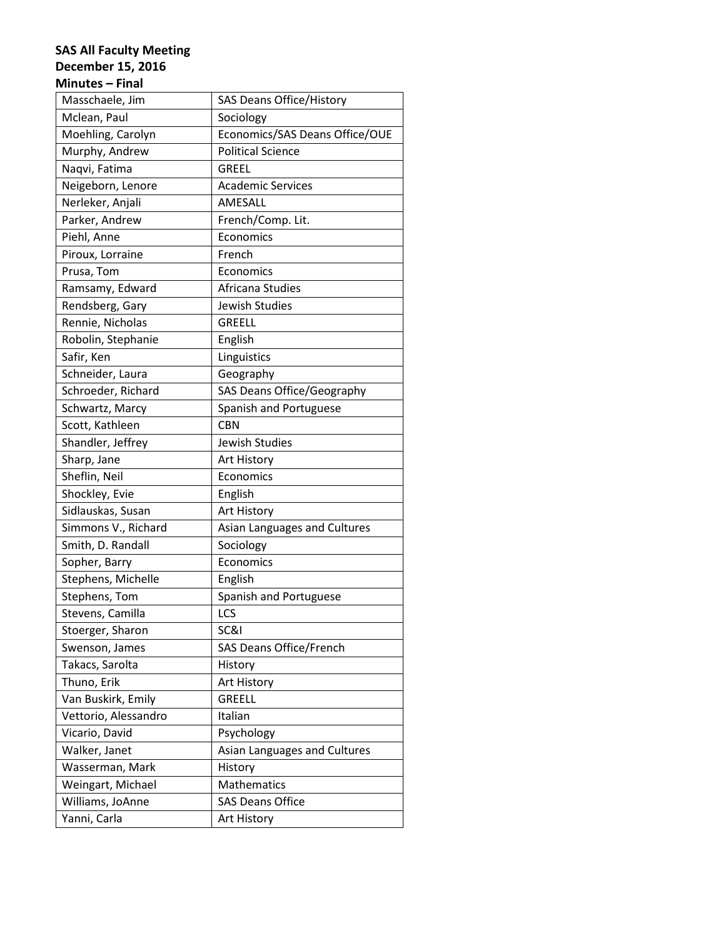| Masschaele, Jim      | <b>SAS Deans Office/History</b> |
|----------------------|---------------------------------|
| Mclean, Paul         | Sociology                       |
| Moehling, Carolyn    | Economics/SAS Deans Office/OUE  |
| Murphy, Andrew       | <b>Political Science</b>        |
| Naqvi, Fatima        | <b>GREEL</b>                    |
| Neigeborn, Lenore    | <b>Academic Services</b>        |
| Nerleker, Anjali     | AMESALL                         |
| Parker, Andrew       | French/Comp. Lit.               |
| Piehl, Anne          | Economics                       |
| Piroux, Lorraine     | French                          |
| Prusa, Tom           | Economics                       |
| Ramsamy, Edward      | Africana Studies                |
| Rendsberg, Gary      | Jewish Studies                  |
| Rennie, Nicholas     | <b>GREELL</b>                   |
| Robolin, Stephanie   | English                         |
| Safir, Ken           | Linguistics                     |
| Schneider, Laura     | Geography                       |
| Schroeder, Richard   | SAS Deans Office/Geography      |
| Schwartz, Marcy      | Spanish and Portuguese          |
| Scott, Kathleen      | <b>CBN</b>                      |
| Shandler, Jeffrey    | Jewish Studies                  |
| Sharp, Jane          | Art History                     |
| Sheflin, Neil        | Economics                       |
| Shockley, Evie       | English                         |
| Sidlauskas, Susan    | Art History                     |
| Simmons V., Richard  | Asian Languages and Cultures    |
| Smith, D. Randall    | Sociology                       |
| Sopher, Barry        | Economics                       |
| Stephens, Michelle   | English                         |
| Stephens, Tom        | Spanish and Portuguese          |
| Stevens, Camilla     | LCS                             |
| Stoerger, Sharon     | SC&I                            |
| Swenson, James       | SAS Deans Office/French         |
| Takacs, Sarolta      | History                         |
| Thuno, Erik          | Art History                     |
| Van Buskirk, Emily   | <b>GREELL</b>                   |
| Vettorio, Alessandro | Italian                         |
| Vicario, David       | Psychology                      |
| Walker, Janet        | Asian Languages and Cultures    |
| Wasserman, Mark      | History                         |
| Weingart, Michael    | Mathematics                     |
| Williams, JoAnne     | <b>SAS Deans Office</b>         |
| Yanni, Carla         | Art History                     |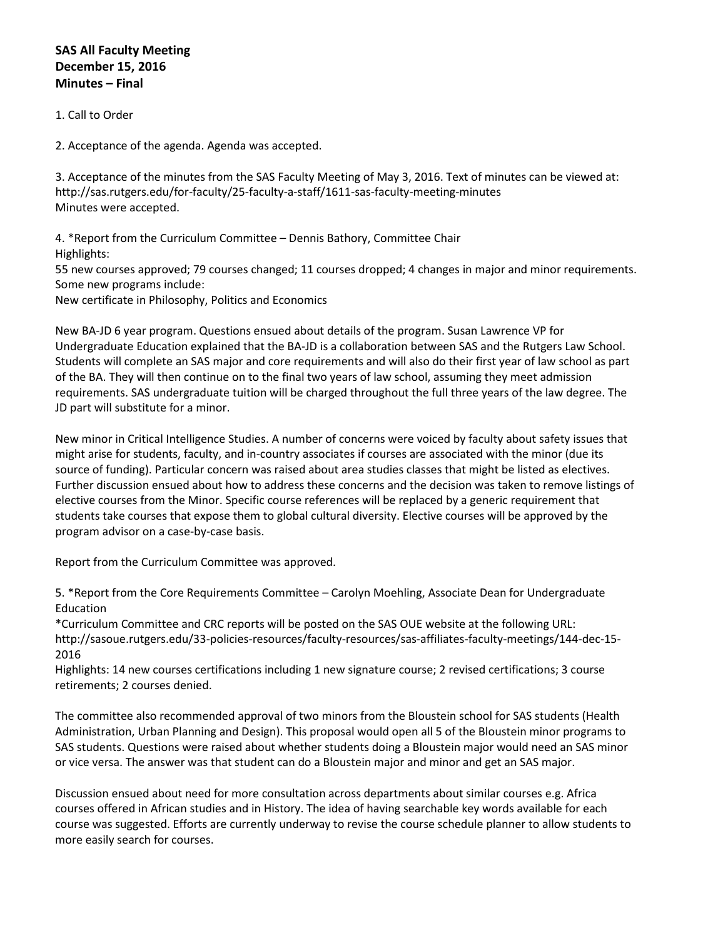1. Call to Order

2. Acceptance of the agenda. Agenda was accepted.

3. Acceptance of the minutes from the SAS Faculty Meeting of May 3, 2016. Text of minutes can be viewed at: http://sas.rutgers.edu/for-faculty/25-faculty-a-staff/1611-sas-faculty-meeting-minutes Minutes were accepted.

4. \*Report from the Curriculum Committee – Dennis Bathory, Committee Chair Highlights:

55 new courses approved; 79 courses changed; 11 courses dropped; 4 changes in major and minor requirements. Some new programs include:

New certificate in Philosophy, Politics and Economics

New BA-JD 6 year program. Questions ensued about details of the program. Susan Lawrence VP for Undergraduate Education explained that the BA-JD is a collaboration between SAS and the Rutgers Law School. Students will complete an SAS major and core requirements and will also do their first year of law school as part of the BA. They will then continue on to the final two years of law school, assuming they meet admission requirements. SAS undergraduate tuition will be charged throughout the full three years of the law degree. The JD part will substitute for a minor.

New minor in Critical Intelligence Studies. A number of concerns were voiced by faculty about safety issues that might arise for students, faculty, and in-country associates if courses are associated with the minor (due its source of funding). Particular concern was raised about area studies classes that might be listed as electives. Further discussion ensued about how to address these concerns and the decision was taken to remove listings of elective courses from the Minor. Specific course references will be replaced by a generic requirement that students take courses that expose them to global cultural diversity. Elective courses will be approved by the program advisor on a case-by-case basis.

Report from the Curriculum Committee was approved.

5. \*Report from the Core Requirements Committee – Carolyn Moehling, Associate Dean for Undergraduate Education

\*Curriculum Committee and CRC reports will be posted on the SAS OUE website at the following URL: http://sasoue.rutgers.edu/33-policies-resources/faculty-resources/sas-affiliates-faculty-meetings/144-dec-15- 2016

Highlights: 14 new courses certifications including 1 new signature course; 2 revised certifications; 3 course retirements; 2 courses denied.

The committee also recommended approval of two minors from the Bloustein school for SAS students (Health Administration, Urban Planning and Design). This proposal would open all 5 of the Bloustein minor programs to SAS students. Questions were raised about whether students doing a Bloustein major would need an SAS minor or vice versa. The answer was that student can do a Bloustein major and minor and get an SAS major.

Discussion ensued about need for more consultation across departments about similar courses e.g. Africa courses offered in African studies and in History. The idea of having searchable key words available for each course was suggested. Efforts are currently underway to revise the course schedule planner to allow students to more easily search for courses.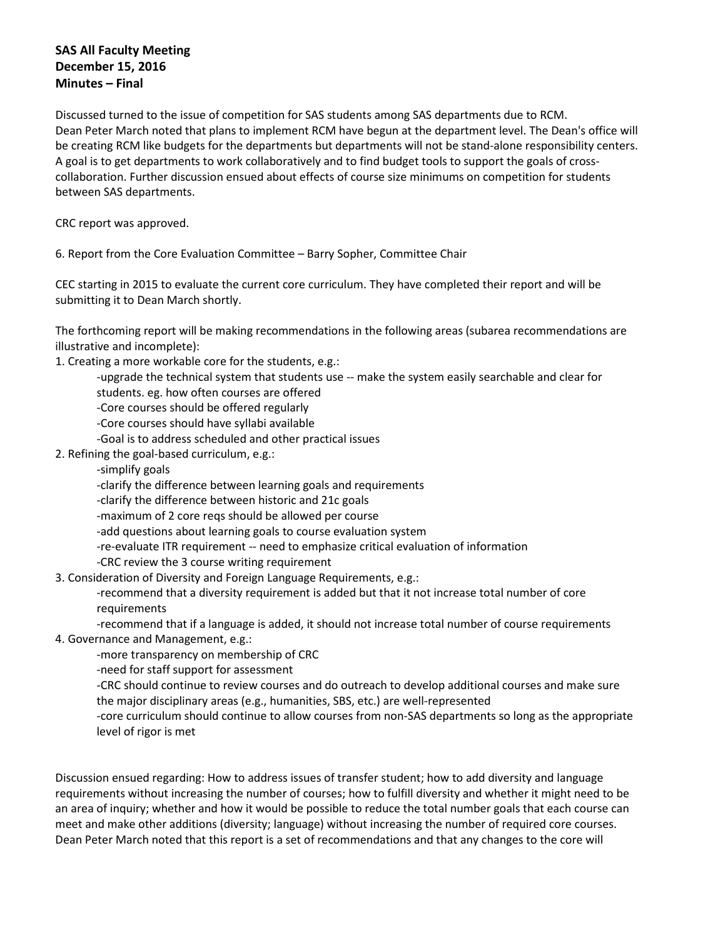Discussed turned to the issue of competition for SAS students among SAS departments due to RCM. Dean Peter March noted that plans to implement RCM have begun at the department level. The Dean's office will be creating RCM like budgets for the departments but departments will not be stand-alone responsibility centers. A goal is to get departments to work collaboratively and to find budget tools to support the goals of crosscollaboration. Further discussion ensued about effects of course size minimums on competition for students between SAS departments.

CRC report was approved.

6. Report from the Core Evaluation Committee – Barry Sopher, Committee Chair

CEC starting in 2015 to evaluate the current core curriculum. They have completed their report and will be submitting it to Dean March shortly.

The forthcoming report will be making recommendations in the following areas (subarea recommendations are illustrative and incomplete):

1. Creating a more workable core for the students, e.g.:

-upgrade the technical system that students use -- make the system easily searchable and clear for

students. eg. how often courses are offered

-Core courses should be offered regularly

-Core courses should have syllabi available

- -Goal is to address scheduled and other practical issues
- 2. Refining the goal-based curriculum, e.g.:

-simplify goals

-clarify the difference between learning goals and requirements

-clarify the difference between historic and 21c goals

-maximum of 2 core reqs should be allowed per course

-add questions about learning goals to course evaluation system

- -re-evaluate ITR requirement -- need to emphasize critical evaluation of information
- -CRC review the 3 course writing requirement

3. Consideration of Diversity and Foreign Language Requirements, e.g.:

-recommend that a diversity requirement is added but that it not increase total number of core requirements

-recommend that if a language is added, it should not increase total number of course requirements 4. Governance and Management, e.g.:

-more transparency on membership of CRC

-need for staff support for assessment

-CRC should continue to review courses and do outreach to develop additional courses and make sure the major disciplinary areas (e.g., humanities, SBS, etc.) are well-represented

-core curriculum should continue to allow courses from non-SAS departments so long as the appropriate level of rigor is met

Discussion ensued regarding: How to address issues of transfer student; how to add diversity and language requirements without increasing the number of courses; how to fulfill diversity and whether it might need to be an area of inquiry; whether and how it would be possible to reduce the total number goals that each course can meet and make other additions (diversity; language) without increasing the number of required core courses. Dean Peter March noted that this report is a set of recommendations and that any changes to the core will